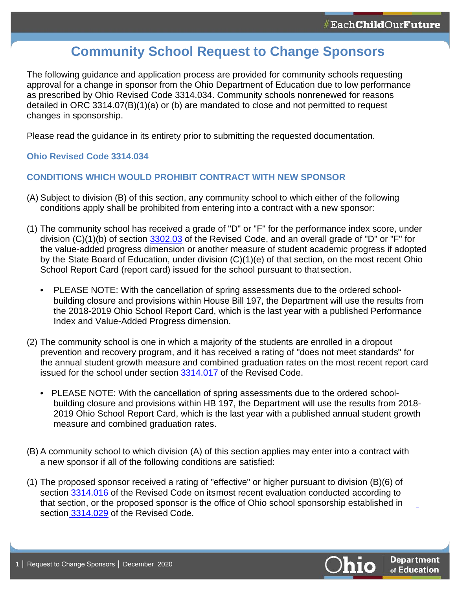# **Community School Request to Change Sponsors**

The following guidance and application process are provided for community schools requesting approval for a change in sponsor from the Ohio Department of Education due to low performance as prescribed by Ohio Revised Code 3314.034. Community schools nonrenewed for reasons detailed in ORC 3314.07(B)(1)(a) or (b) are mandated to close and not permitted to request changes in sponsorship.

Please read the guidance in its entirety prior to submitting the requested documentation.

## **Ohio Revised Code 3314.034**

## **CONDITIONS WHICH WOULD PROHIBIT CONTRACT WITH NEW SPONSOR**

- (A) Subject to division (B) of this section, any community school to which either of the following conditions apply shall be prohibited from entering into a contract with a new sponsor:
- (1) The community school has received a grade of "D" or "F" for the performance index score, under division (C)(1)(b) of section [3302.03](http://codes.ohio.gov/orc/3302.03) of the Revised Code, and an overall grade of "D" or "F" for the value-added progress dimension or another measure of student academic progress if adopted by the State Board of Education, under division (C)(1)(e) of that section, on the most recent Ohio School Report Card (report card) issued for the school pursuant to that section.
	- PLEASE NOTE: With the cancellation of spring assessments due to the ordered schoolbuilding closure and provisions within House Bill 197, the Department will use the results from the 2018-2019 Ohio School Report Card, which is the last year with a published Performance Index and Value-Added Progress dimension.
- (2) The community school is one in which a majority of the students are enrolled in a dropout prevention and recovery program, and it has received a rating of "does not meet standards" for the annual student growth measure and combined graduation rates on the most recent report card issued for the school under section [3314.017](http://codes.ohio.gov/orc/3314.017) of the Revised Code.
	- PLEASE NOTE: With the cancellation of spring assessments due to the ordered schoolbuilding closure and provisions within HB 197, the Department will use the results from 2018- 2019 Ohio School Report Card, which is the last year with a published annual student growth measure and combined graduation rates.
- (B) A community school to which division (A) of this section applies may enter into a contract with a new sponsor if all of the following conditions are satisfied:
- (1) The proposed sponsor received a rating of "effective" or higher pursuant to division (B)(6) of section [3314.016](http://codes.ohio.gov/orc/3314.016) of the Revised Code on itsmost recent evaluation conducted according to that section, or the proposed sponsor is the office of Ohio school sponsorship established in section [3314.029](http://codes.ohio.gov/orc/3314.029) of the Revised Code.

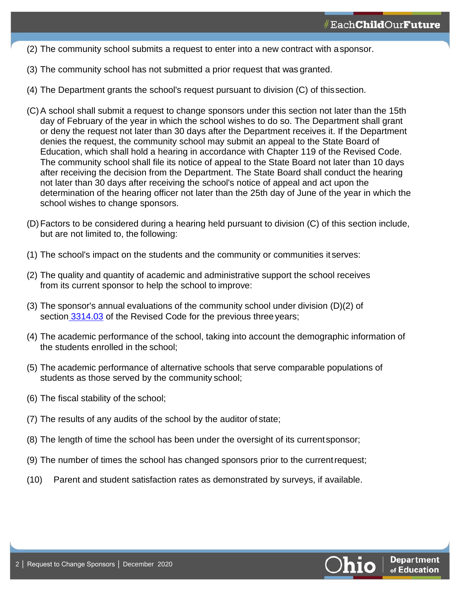- (2) The community school submits a request to enter into a new contract with asponsor.
- (3) The community school has not submitted a prior request that was granted.
- (4) The Department grants the school's request pursuant to division (C) of thissection.
- (C)A school shall submit a request to change sponsors under this section not later than the 15th day of February of the year in which the school wishes to do so. The Department shall grant or deny the request not later than 30 days after the Department receives it. If the Department denies the request, the community school may submit an appeal to the State Board of Education, which shall hold a hearing in accordance with Chapter 119 of the Revised Code. The community school shall file its notice of appeal to the State Board not later than 10 days after receiving the decision from the Department. The State Board shall conduct the hearing not later than 30 days after receiving the school's notice of appeal and act upon the determination of the hearing officer not later than the 25th day of June of the year in which the school wishes to change sponsors.
- (D)Factors to be considered during a hearing held pursuant to division (C) of this section include, but are not limited to, the following:
- (1) The school's impact on the students and the community or communities it serves:
- (2) The quality and quantity of academic and administrative support the school receives from its current sponsor to help the school to improve:
- (3) The sponsor's annual evaluations of the community school under division (D)(2) of section [3314.03](http://codes.ohio.gov/orc/3314.03) of the Revised Code for the previous three years;
- (4) The academic performance of the school, taking into account the demographic information of the students enrolled in the school;
- (5) The academic performance of alternative schools that serve comparable populations of students as those served by the community school;
- (6) The fiscal stability of the school;
- (7) The results of any audits of the school by the auditor of state;
- (8) The length of time the school has been under the oversight of its currentsponsor;
- (9) The number of times the school has changed sponsors prior to the currentrequest;
- (10) Parent and student satisfaction rates as demonstrated by surveys, if available.

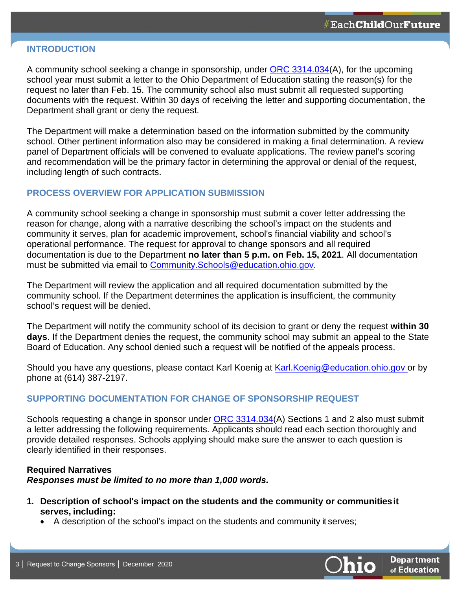#### **INTRODUCTION**

A community school seeking a change in sponsorship, under **ORC 3314.034(A)**, for the upcoming school year must submit a letter to the Ohio Department of Education stating the reason(s) for the request no later than Feb. 15. The community school also must submit all requested supporting documents with the request. Within 30 days of receiving the letter and supporting documentation, the Department shall grant or deny the request.

The Department will make a determination based on the information submitted by the community school. Other pertinent information also may be considered in making a final determination. A review panel of Department officials will be convened to evaluate applications. The review panel's scoring and recommendation will be the primary factor in determining the approval or denial of the request, including length of such contracts.

#### **PROCESS OVERVIEW FOR APPLICATION SUBMISSION**

A community school seeking a change in sponsorship must submit a cover letter addressing the reason for change, along with a narrative describing the school's impact on the students and community it serves, plan for academic improvement, school's financial viability and school's operational performance. The request for approval to change sponsors and all required documentation is due to the Department **no later than 5 p.m. on Feb. 15, 2021**. All documentation must be submitted via email to [Community.Schools@education.ohio.gov.](mailto:Community.Schools@education.ohio.gov)

The Department will review the application and all required documentation submitted by the community school. If the Department determines the application is insufficient, the community school's request will be denied.

The Department will notify the community school of its decision to grant or deny the request **within 30 days**. If the Department denies the request, the community school may submit an appeal to the State Board of Education. Any school denied such a request will be notified of the appeals process.

Should you have any questions, please contact Karl Koenig at **Karl. Koenig@education.ohio.gov** or by phone at (614) 387-2197.

## **SUPPORTING DOCUMENTATION FOR CHANGE OF SPONSORSHIP REQUEST**

Schools requesting a change in sponsor under [ORC 3314.034\(](http://codes.ohio.gov/orc/3314.034)A) Sections 1 and 2 also must submit a letter addressing the following requirements. Applicants should read each section thoroughly and provide detailed responses. Schools applying should make sure the answer to each question is clearly identified in their responses.

#### **Required Narratives** *Responses must be limited to no more than 1,000 words.*

- **1. Description of school's impact on the students and the community or communitiesit serves, including:**
	- A description of the school's impact on the students and community it serves;